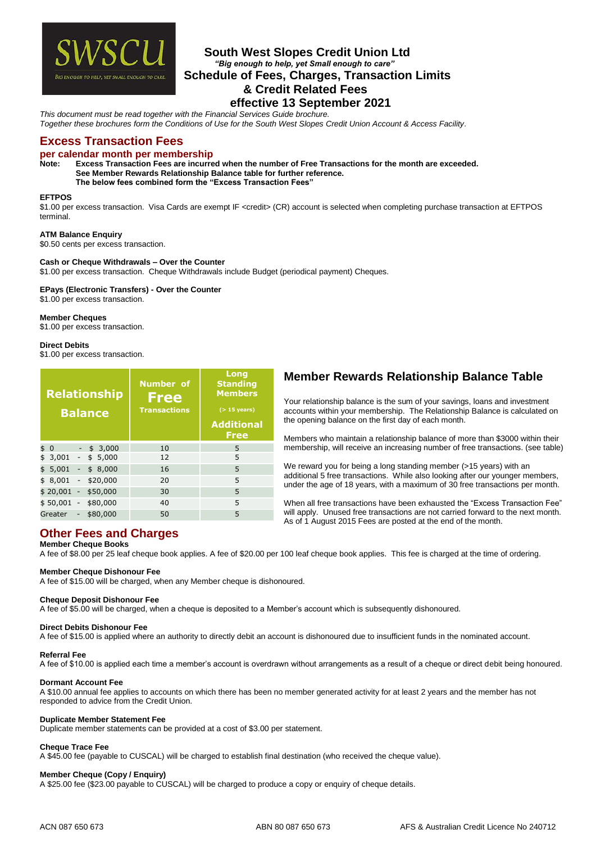

# **South West Slopes Credit Union Ltd**  *"Big enough to help, yet Small enough to care"* **Schedule of Fees, Charges, Transaction Limits & Credit Related Fees effective 13 September 2021**

*This document must be read together with the Financial Services Guide brochure. Together these brochures form the Conditions of Use for the South West Slopes Credit Union Account & Access Facility.*

# **Excess Transaction Fees**

# **per calendar month per membership**

Excess Transaction Fees are incurred when the number of Free Transactions for the month are exceeded. **See Member Rewards Relationship Balance table for further reference.** 

**The below fees combined form the "Excess Transaction Fees"**

# **EFTPOS**

\$1.00 per excess transaction. Visa Cards are exempt IF <credit> (CR) account is selected when completing purchase transaction at EFTPOS terminal.

# **ATM Balance Enquiry**

\$0.50 cents per excess transaction.

# **Cash or Cheque Withdrawals – Over the Counter**

\$1.00 per excess transaction. Cheque Withdrawals include Budget (periodical payment) Cheques.

# **EPays (Electronic Transfers) - Over the Counter**

\$1.00 per excess transaction.

\$1.00 per excess transaction.

**Member Cheques**

**Direct Debits** \$1.00 per excess transaction.

|                      |                          | <b>Relationship</b><br><b>Balance</b> | <b>Number</b> of<br><b>Free</b><br><b>Transactions</b> | Long<br><b>Standing</b><br><b>Members</b><br>$($ > 15 years)<br><b>Additional</b><br><b>Free</b> |
|----------------------|--------------------------|---------------------------------------|--------------------------------------------------------|--------------------------------------------------------------------------------------------------|
| \$<br>$\overline{0}$ |                          | \$3,000                               | 10                                                     | 5                                                                                                |
| 3,001<br>\$          |                          | \$5,000                               | 12                                                     | 5                                                                                                |
| 5,001<br>\$          |                          | \$8,000                               | 16                                                     | 5                                                                                                |
| 8,001<br>\$          | $\overline{\phantom{a}}$ | \$20,000                              | 20                                                     | 5                                                                                                |
| \$20,001             | ÷,                       | \$50,000                              | 30                                                     | 5                                                                                                |
| \$50,001             |                          | $-$ \$80,000                          | 40                                                     | 5                                                                                                |
| Greater              |                          | \$80,000                              | 50                                                     | 5                                                                                                |

# **Member Rewards Relationship Balance Table**

Your relationship balance is the sum of your savings, loans and investment accounts within your membership. The Relationship Balance is calculated on the opening balance on the first day of each month.

Members who maintain a relationship balance of more than \$3000 within their membership, will receive an increasing number of free transactions. (see table)

We reward you for being a long standing member (>15 years) with an additional 5 free transactions. While also looking after our younger members, under the age of 18 years, with a maximum of 30 free transactions per month.

When all free transactions have been exhausted the "Excess Transaction Fee" will apply. Unused free transactions are not carried forward to the next month. As of 1 August 2015 Fees are posted at the end of the month.

# **Member Cheque Books**

**Other Fees and Charges**

A fee of \$8.00 per 25 leaf cheque book applies. A fee of \$20.00 per 100 leaf cheque book applies. This fee is charged at the time of ordering.

# **Member Cheque Dishonour Fee**

A fee of \$15.00 will be charged, when any Member cheque is dishonoured.

# **Cheque Deposit Dishonour Fee**

A fee of \$5.00 will be charged, when a cheque is deposited to a Member's account which is subsequently dishonoured.

# **Direct Debits Dishonour Fee**

A fee of \$15.00 is applied where an authority to directly debit an account is dishonoured due to insufficient funds in the nominated account.

# **Referral Fee**

A fee of \$10.00 is applied each time a member's account is overdrawn without arrangements as a result of a cheque or direct debit being honoured.

# **Dormant Account Fee**

A \$10.00 annual fee applies to accounts on which there has been no member generated activity for at least 2 years and the member has not responded to advice from the Credit Union.

# **Duplicate Member Statement Fee**

Duplicate member statements can be provided at a cost of \$3.00 per statement.

# **Cheque Trace Fee**

A \$45.00 fee (payable to CUSCAL) will be charged to establish final destination (who received the cheque value).

# **Member Cheque (Copy / Enquiry)**

A \$25.00 fee (\$23.00 payable to CUSCAL) will be charged to produce a copy or enquiry of cheque details.